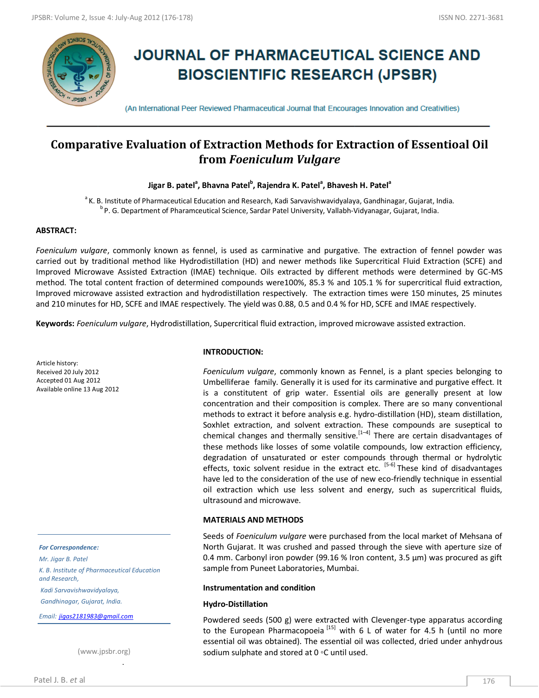

# **JOURNAL OF PHARMACEUTICAL SCIENCE AND BIOSCIENTIFIC RESEARCH (JPSBR)**

(An International Peer Reviewed Pharmaceutical Journal that Encourages Innovation and Creativities)

# **Comparative Evaluation of Extraction Methods for Extraction of Essentioal Oil from** *Foeniculum Vulgare*

# $\bm{I}$ igar B. patel<sup>a</sup>, Bhavna Patel<sup>b</sup>, Rajendra K. Patel<sup>a</sup>, Bhavesh H. Patel<sup>a</sup>

<sup>a</sup>K. B. Institute of Pharmaceutical Education and Research, Kadi Sarvavishwavidyalaya, Gandhinagar, Gujarat, India. <sup>b</sup> P. G. Department of Pharamceutical Science, Sardar Patel University, Vallabh-Vidyanagar, Gujarat, India.

#### **ABSTRACT:**

*Foeniculum vulgare*, commonly known as fennel, is used as carminative and purgative. The extraction of fennel powder was carried out by traditional method like Hydrodistillation (HD) and newer methods like Supercritical Fluid Extraction (SCFE) and Improved Microwave Assisted Extraction (IMAE) technique. Oils extracted by different methods were determined by GC-MS method. The total content fraction of determined compounds were100%, 85.3 % and 105.1 % for supercritical fluid extraction, Improved microwave assisted extraction and hydrodistillation respectively. The extraction times were 150 minutes, 25 minutes and 210 minutes for HD, SCFE and IMAE respectively. The yield was 0.88, 0.5 and 0.4 % for HD, SCFE and IMAE respectively.

**Keywords:** *Foeniculum vulgare*, Hydrodistillation, Supercritical fluid extraction, improved microwave assisted extraction.

Article history: Received 20 July 2012 Accepted 01 Aug 2012 Available online 13 Aug 2012

#### *For Correspondence:*

*Mr. Jigar B. Patel K. B. Institute of Pharmaceutical Education and Research, Kadi Sarvavishwavidyalaya,*

*Gandhinagar, Gujarat, India.*

*Email: [jigas2181983@gmail.com](mailto:jigas2181983@gmail.com)*

**Table 1: Results and comparison** (www.jpsbr.org)

#### **INTRODUCTION:**

*Foeniculum vulgare*, commonly known as Fennel, is a plant species belonging to Umbelliferae family. Generally it is used for its carminative and purgative effect. It is a constitutent of grip water. Essential oils are generally present at low concentration and their composition is complex. There are so many conventional methods to extract it before analysis e.g. hydro-distillation (HD), steam distillation, Soxhlet extraction, and solvent extraction. These compounds are suseptical to chemical changes and thermally sensitive.  $[1-4]$  There are certain disadvantages of these methods like losses of some volatile compounds, low extraction efficiency, degradation of unsaturated or ester compounds through thermal or hydrolytic effects, toxic solvent residue in the extract etc.  $[5-6]$  These kind of disadvantages have led to the consideration of the use of new eco-friendly technique in essential oil extraction which use less solvent and energy, such as supercritical fluids, ultrasound and microwave.

#### **MATERIALS AND METHODS**

Seeds of *Foeniculum vulgare* were purchased from the local market of Mehsana of North Gujarat. It was crushed and passed through the sieve with aperture size of 0.4 mm. Carbonyl iron powder (99.16 % Iron content, 3.5  $\mu$ m) was procured as gift sample from Puneet Laboratories, Mumbai.

#### **Instrumentation and condition**

#### **Hydro-Distillation**

Powdered seeds (500 g) were extracted with Clevenger-type apparatus according to the European Pharmacopoeia<sup>[15]</sup> with 6 L of water for 4.5 h (until no more essential oil was obtained). The essential oil was collected, dried under anhydrous sodium sulphate and stored at 0 ◦C until used.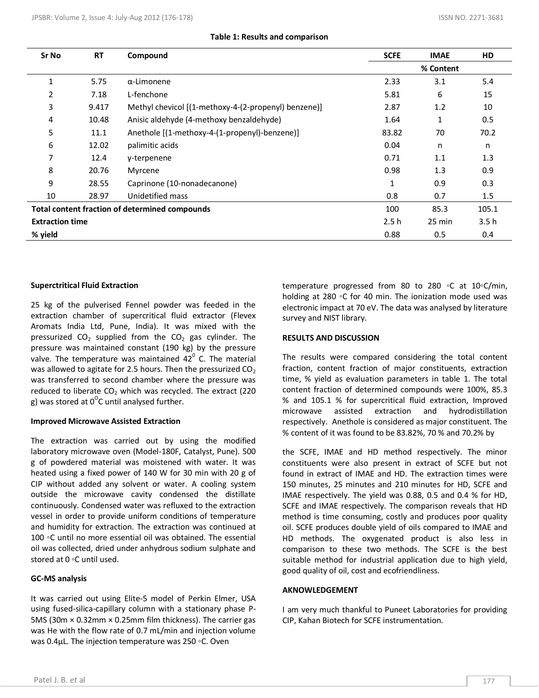### **Table 1: Results and comparison**

| Sr No                                                 | <b>RT</b> | Compound                                             | <b>SCFE</b> | <b>IMAE</b> | <b>HD</b> |
|-------------------------------------------------------|-----------|------------------------------------------------------|-------------|-------------|-----------|
|                                                       |           |                                                      | % Content   |             |           |
|                                                       | 5.75      | $\alpha$ -Limonene                                   | 2.33        | 3.1         | 5.4       |
| 2                                                     | 7.18      | L-fenchone                                           | 5.81        | 6           | 15        |
| 3                                                     | 9.417     | Methyl chevicol [(1-methoxy-4-(2-propenyl) benzene)] | 2.87        | 1.2         | 10        |
| 4                                                     | 10.48     | Anisic aldehyde (4-methoxy benzaldehyde)             | 1.64        | 1           | 0.5       |
| 5                                                     | 11.1      | Anethole [(1-methoxy-4-(1-propenyl)-benzene)]        | 83.82       | 70          | 70.2      |
| 6                                                     | 12.02     | palimitic acids                                      | 0.04        | n           | n         |
| 7                                                     | 12.4      | y-terpenene                                          | 0.71        | 1.1         | 1.3       |
| 8                                                     | 20.76     | Myrcene                                              | 0.98        | 1.3         | 0.9       |
| 9                                                     | 28.55     | Caprinone (10-nonadecanone)                          | 1           | 0.9         | 0.3       |
| 10                                                    | 28.97     | Unidetified mass                                     | 0.8         | 0.7         | 1.5       |
| <b>Total content fraction of determined compounds</b> |           |                                                      | 100         | 85.3        | 105.1     |
| <b>Extraction time</b>                                |           |                                                      | 2.5h        | 25 min      | 3.5h      |
| % yield                                               |           |                                                      | 0.88        | 0.5         | 0.4       |

#### **Superctritical Fluid Extraction**

25 kg of the pulverised Fennel powder was feeded in the extraction chamber of supercritical fluid extractor (Flevex Aromats India Ltd, Pune, India). It was mixed with the pressurized  $CO<sub>2</sub>$  supplied from the  $CO<sub>2</sub>$  gas cylinder. The pressure was maintained constant (190 kg) by the pressure valve. The temperature was maintained  $42^{\circ}$  C. The material was allowed to agitate for 2.5 hours. Then the pressurized  $CO<sub>2</sub>$ was transferred to second chamber where the pressure was reduced to liberate  $CO<sub>2</sub>$  which was recycled. The extract (220 g) was stored at  $0^{\circ}$ C until analysed further.

#### **Improved Microwave Assisted Extraction**

The extraction was carried out by using the modified laboratory microwave oven (Model-180F, Catalyst, Pune). 500 g of powdered material was moistened with water. It was heated using a fixed power of 140 W for 30 min with 20 g of CIP without added any solvent or water. A cooling system outside the microwave cavity condensed the distillate continuously. Condensed water was refluxed to the extraction vessel in order to provide uniform conditions of temperature and humidity for extraction. The extraction was continued at 100 ◦C until no more essential oil was obtained. The essential oil was collected, dried under anhydrous sodium sulphate and stored at 0 ◦C until used.

## **GC-MS analysis**

It was carried out using Elite-5 model of Perkin Elmer, USA using fused-silica-capillary column with a stationary phase P-5MS (30m × 0.32mm × 0.25mm film thickness). The carrier gas was He with the flow rate of 0.7 mL/min and injection volume was 0.4μL. The injection temperature was 250 ◦C. Oven

temperature progressed from 80 to 280 ◦C at 10◦C/min, holding at 280 ◦C for 40 min. The ionization mode used was electronic impact at 70 eV. The data was analysed by literature survey and NIST library.

#### **RESULTS AND DISCUSSION**

The results were compared considering the total content fraction, content fraction of major constituents, extraction time, % yield as evaluation parameters in table 1. The total content fraction of determined compounds were 100%, 85.3 % and 105.1 % for supercritical fluid extraction, Improved microwave assisted extraction and hydrodistillation respectively. Anethole is considered as major constituent. The % content of it was found to be 83.82%, 70 % and 70.2% by

the SCFE, IMAE and HD method respectively. The minor constituents were also present in extract of SCFE but not found in extract of IMAE and HD. The extraction times were 150 minutes, 25 minutes and 210 minutes for HD, SCFE and IMAE respectively. The yield was 0.88, 0.5 and 0.4 % for HD, SCFE and IMAE respectively. The comparison reveals that HD method is time consuming, costly and produces poor quality oil. SCFE produces double yield of oils compared to IMAE and HD methods. The oxygenated product is also less in comparison to these two methods. The SCFE is the best suitable method for industrial application due to high yield, good quality of oil, cost and ecofriendliness.

#### **AKNOWLEDGEMENT**

I am very much thankful to Puneet Laboratories for providing CIP, Kahan Biotech for SCFE instrumentation.